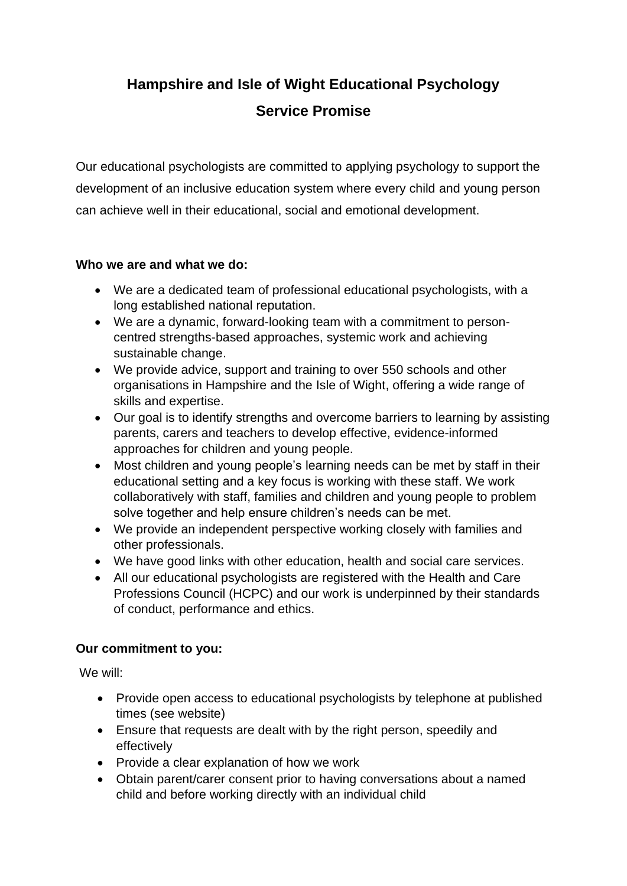# **Hampshire and Isle of Wight Educational Psychology Service Promise**

Our educational psychologists are committed to applying psychology to support the development of an inclusive education system where every child and young person can achieve well in their educational, social and emotional development.

#### **Who we are and what we do:**

- We are a dedicated team of professional educational psychologists, with a long established national reputation.
- We are a dynamic, forward-looking team with a commitment to personcentred strengths-based approaches, systemic work and achieving sustainable change.
- We provide advice, support and training to over 550 schools and other organisations in Hampshire and the Isle of Wight, offering a wide range of skills and expertise.
- Our goal is to identify strengths and overcome barriers to learning by assisting parents, carers and teachers to develop effective, evidence-informed approaches for children and young people.
- Most children and young people's learning needs can be met by staff in their educational setting and a key focus is working with these staff. We work collaboratively with staff, families and children and young people to problem solve together and help ensure children's needs can be met.
- We provide an independent perspective working closely with families and other professionals.
- We have good links with other education, health and social care services.
- All our educational psychologists are registered with the Health and Care Professions Council (HCPC) and our work is underpinned by their standards of conduct, performance and ethics.

### **Our commitment to you:**

We will:

- Provide open access to educational psychologists by telephone at published times (see website)
- Ensure that requests are dealt with by the right person, speedily and effectively
- Provide a clear explanation of how we work
- Obtain parent/carer consent prior to having conversations about a named child and before working directly with an individual child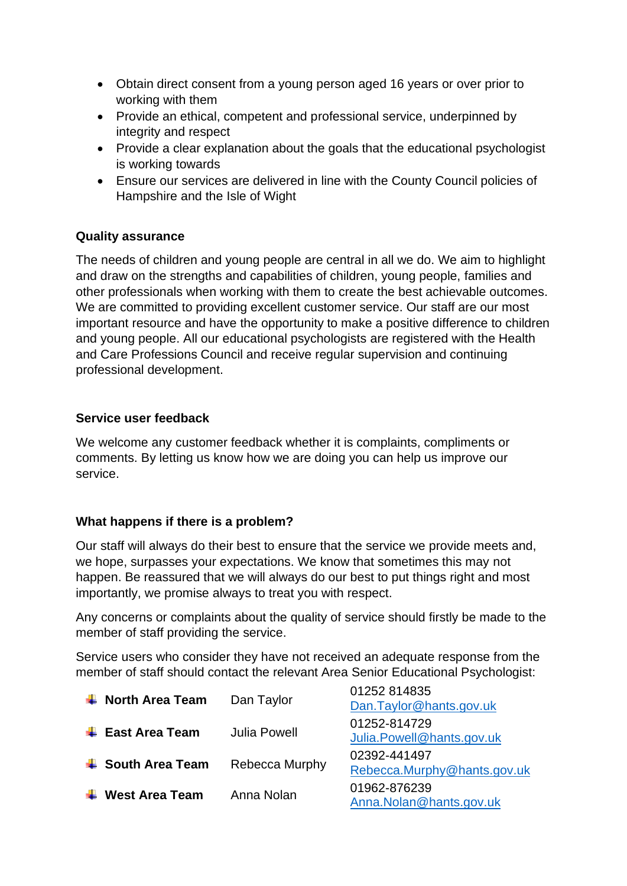- Obtain direct consent from a young person aged 16 years or over prior to working with them
- Provide an ethical, competent and professional service, underpinned by integrity and respect
- Provide a clear explanation about the goals that the educational psychologist is working towards
- Ensure our services are delivered in line with the County Council policies of Hampshire and the Isle of Wight

### **Quality assurance**

The needs of children and young people are central in all we do. We aim to highlight and draw on the strengths and capabilities of children, young people, families and other professionals when working with them to create the best achievable outcomes. We are committed to providing excellent customer service. Our staff are our most important resource and have the opportunity to make a positive difference to children and young people. All our educational psychologists are registered with the Health and Care Professions Council and receive regular supervision and continuing professional development.

### **Service user feedback**

We welcome any customer feedback whether it is complaints, compliments or comments. By letting us know how we are doing you can help us improve our service.

## **What happens if there is a problem?**

Our staff will always do their best to ensure that the service we provide meets and, we hope, surpasses your expectations. We know that sometimes this may not happen. Be reassured that we will always do our best to put things right and most importantly, we promise always to treat you with respect.

Any concerns or complaints about the quality of service should firstly be made to the member of staff providing the service.

Service users who consider they have not received an adequate response from the member of staff should contact the relevant Area Senior Educational Psychologist:

| $\leftarrow$ North Area Team            | Dan Taylor          | 01252 814835<br>Dan.Taylor@hants.gov.uk     |
|-----------------------------------------|---------------------|---------------------------------------------|
| $\overline{\phantom{a}}$ East Area Team | <b>Julia Powell</b> | 01252-814729<br>Julia.Powell@hants.gov.uk   |
| $\frac{1}{2}$ South Area Team           | Rebecca Murphy      | 02392-441497<br>Rebecca.Murphy@hants.gov.uk |
| <b>West Area Team</b>                   | Anna Nolan          | 01962-876239<br>Anna.Nolan@hants.gov.uk     |